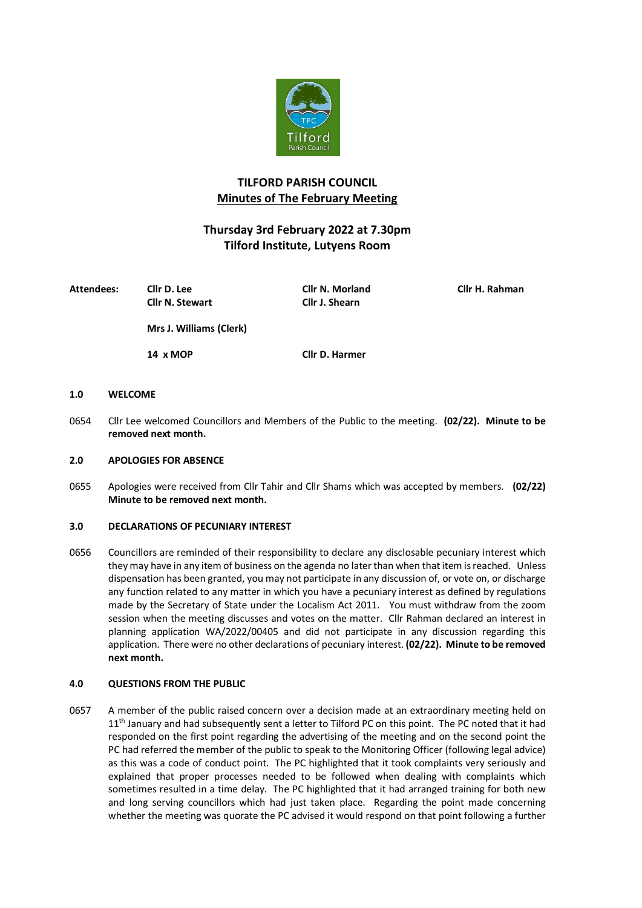

# **TILFORD PARISH COUNCIL Minutes of The February Meeting**

# **Thursday 3rd February 2022 at 7.30pm Tilford Institute, Lutyens Room**

| <b>Attendees:</b> | Cllr D. Lee             | <b>Cllr N. Morland</b> | Cllr H. Rahman |
|-------------------|-------------------------|------------------------|----------------|
|                   | <b>Cllr N. Stewart</b>  | Cllr J. Shearn         |                |
|                   | Mrs J. Williams (Clerk) |                        |                |
|                   | 14 x MOP                | Cllr D. Harmer         |                |

#### **1.0 WELCOME**

0654 Cllr Lee welcomed Councillors and Members of the Public to the meeting. **(02/22). Minute to be removed next month.**

#### **2.0 APOLOGIES FOR ABSENCE**

0655 Apologies were received from Cllr Tahir and Cllr Shams which was accepted by members. **(02/22) Minute to be removed next month.**

#### **3.0 DECLARATIONS OF PECUNIARY INTEREST**

0656 Councillors are reminded of their responsibility to declare any disclosable pecuniary interest which they may have in any item of business on the agenda no later than when that item is reached. Unless dispensation has been granted, you may not participate in any discussion of, or vote on, or discharge any function related to any matter in which you have a pecuniary interest as defined by regulations made by the Secretary of State under the Localism Act 2011. You must withdraw from the zoom session when the meeting discusses and votes on the matter. Cllr Rahman declared an interest in planning application WA/2022/00405 and did not participate in any discussion regarding this application. There were no other declarations of pecuniary interest. **(02/22). Minute to be removed next month.**

#### **4.0 QUESTIONS FROM THE PUBLIC**

0657 A member of the public raised concern over a decision made at an extraordinary meeting held on 11<sup>th</sup> January and had subsequently sent a letter to Tilford PC on this point. The PC noted that it had responded on the first point regarding the advertising of the meeting and on the second point the PC had referred the member of the public to speak to the Monitoring Officer (following legal advice) as this was a code of conduct point. The PC highlighted that it took complaints very seriously and explained that proper processes needed to be followed when dealing with complaints which sometimes resulted in a time delay. The PC highlighted that it had arranged training for both new and long serving councillors which had just taken place. Regarding the point made concerning whether the meeting was quorate the PC advised it would respond on that point following a further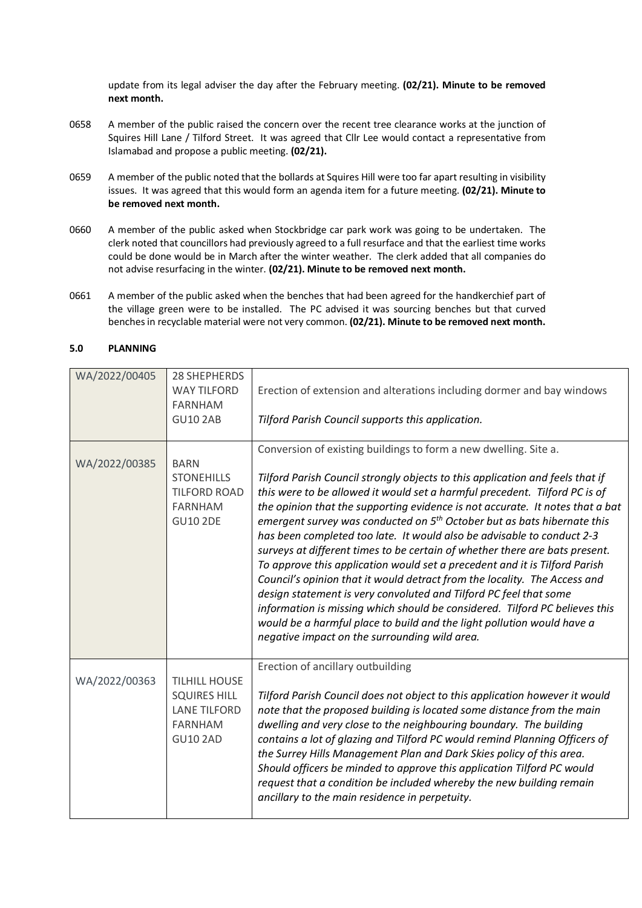update from its legal adviser the day after the February meeting. **(02/21). Minute to be removed next month.**

- 0658 A member of the public raised the concern over the recent tree clearance works at the junction of Squires Hill Lane / Tilford Street. It was agreed that Cllr Lee would contact a representative from Islamabad and propose a public meeting. **(02/21).**
- 0659 A member of the public noted that the bollards at Squires Hill were too far apart resulting in visibility issues. It was agreed that this would form an agenda item for a future meeting. **(02/21). Minute to be removed next month.**
- 0660 A member of the public asked when Stockbridge car park work was going to be undertaken. The clerk noted that councillors had previously agreed to a full resurface and that the earliest time works could be done would be in March after the winter weather. The clerk added that all companies do not advise resurfacing in the winter. **(02/21). Minute to be removed next month.**
- 0661 A member of the public asked when the benches that had been agreed for the handkerchief part of the village green were to be installed. The PC advised it was sourcing benches but that curved benches in recyclable material were not very common. **(02/21). Minute to be removed next month.**

#### **5.0 PLANNING**

| WA/2022/00405 | <b>28 SHEPHERDS</b><br><b>WAY TILFORD</b><br><b>FARNHAM</b><br><b>GU10 2AB</b>                          | Erection of extension and alterations including dormer and bay windows<br>Tilford Parish Council supports this application.                                                                                                                                                                                                                                                                                                                                                                                                                                                                                                                                                                                                                                                                                                                                                                                                                                                                                |
|---------------|---------------------------------------------------------------------------------------------------------|------------------------------------------------------------------------------------------------------------------------------------------------------------------------------------------------------------------------------------------------------------------------------------------------------------------------------------------------------------------------------------------------------------------------------------------------------------------------------------------------------------------------------------------------------------------------------------------------------------------------------------------------------------------------------------------------------------------------------------------------------------------------------------------------------------------------------------------------------------------------------------------------------------------------------------------------------------------------------------------------------------|
| WA/2022/00385 | <b>BARN</b><br><b>STONEHILLS</b><br><b>TILFORD ROAD</b><br><b>FARNHAM</b><br><b>GU10 2DE</b>            | Conversion of existing buildings to form a new dwelling. Site a.<br>Tilford Parish Council strongly objects to this application and feels that if<br>this were to be allowed it would set a harmful precedent. Tilford PC is of<br>the opinion that the supporting evidence is not accurate. It notes that a bat<br>emergent survey was conducted on 5 <sup>th</sup> October but as bats hibernate this<br>has been completed too late. It would also be advisable to conduct 2-3<br>surveys at different times to be certain of whether there are bats present.<br>To approve this application would set a precedent and it is Tilford Parish<br>Council's opinion that it would detract from the locality. The Access and<br>design statement is very convoluted and Tilford PC feel that some<br>information is missing which should be considered. Tilford PC believes this<br>would be a harmful place to build and the light pollution would have a<br>negative impact on the surrounding wild area. |
| WA/2022/00363 | <b>TILHILL HOUSE</b><br><b>SQUIRES HILL</b><br><b>LANE TILFORD</b><br><b>FARNHAM</b><br><b>GU10 2AD</b> | Erection of ancillary outbuilding<br>Tilford Parish Council does not object to this application however it would<br>note that the proposed building is located some distance from the main<br>dwelling and very close to the neighbouring boundary. The building<br>contains a lot of glazing and Tilford PC would remind Planning Officers of<br>the Surrey Hills Management Plan and Dark Skies policy of this area.<br>Should officers be minded to approve this application Tilford PC would<br>request that a condition be included whereby the new building remain<br>ancillary to the main residence in perpetuity.                                                                                                                                                                                                                                                                                                                                                                                 |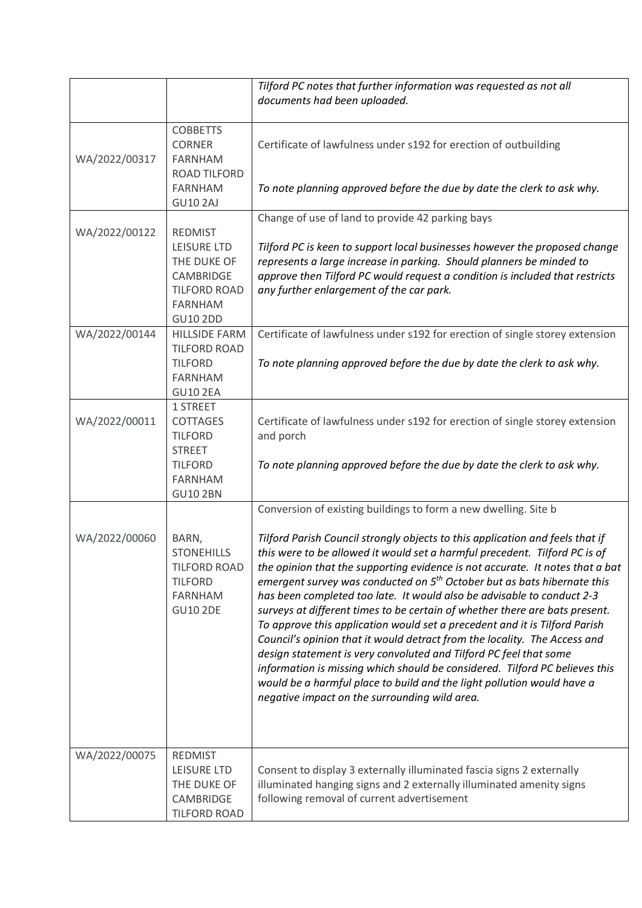|               |                                                                                                                              | Tilford PC notes that further information was requested as not all<br>documents had been uploaded.                                                                                                                                                                                                                                                                                                                                                                                                                                                                                                                                                                                                                                                                                                                                                                                                                                                                                                        |
|---------------|------------------------------------------------------------------------------------------------------------------------------|-----------------------------------------------------------------------------------------------------------------------------------------------------------------------------------------------------------------------------------------------------------------------------------------------------------------------------------------------------------------------------------------------------------------------------------------------------------------------------------------------------------------------------------------------------------------------------------------------------------------------------------------------------------------------------------------------------------------------------------------------------------------------------------------------------------------------------------------------------------------------------------------------------------------------------------------------------------------------------------------------------------|
| WA/2022/00317 | <b>COBBETTS</b><br><b>CORNER</b><br><b>FARNHAM</b><br><b>ROAD TILFORD</b><br><b>FARNHAM</b><br><b>GU10 2AJ</b>               | Certificate of lawfulness under s192 for erection of outbuilding<br>To note planning approved before the due by date the clerk to ask why.                                                                                                                                                                                                                                                                                                                                                                                                                                                                                                                                                                                                                                                                                                                                                                                                                                                                |
| WA/2022/00122 | <b>REDMIST</b><br><b>LEISURE LTD</b><br>THE DUKE OF<br>CAMBRIDGE<br><b>TILFORD ROAD</b><br><b>FARNHAM</b><br><b>GU10 2DD</b> | Change of use of land to provide 42 parking bays<br>Tilford PC is keen to support local businesses however the proposed change<br>represents a large increase in parking. Should planners be minded to<br>approve then Tilford PC would request a condition is included that restricts<br>any further enlargement of the car park.                                                                                                                                                                                                                                                                                                                                                                                                                                                                                                                                                                                                                                                                        |
| WA/2022/00144 | <b>HILLSIDE FARM</b><br><b>TILFORD ROAD</b><br><b>TILFORD</b><br><b>FARNHAM</b><br><b>GU10 2EA</b>                           | Certificate of lawfulness under s192 for erection of single storey extension<br>To note planning approved before the due by date the clerk to ask why.                                                                                                                                                                                                                                                                                                                                                                                                                                                                                                                                                                                                                                                                                                                                                                                                                                                    |
| WA/2022/00011 | 1 STREET<br>COTTAGES<br><b>TILFORD</b><br><b>STREET</b><br><b>TILFORD</b><br><b>FARNHAM</b><br><b>GU10 2BN</b>               | Certificate of lawfulness under s192 for erection of single storey extension<br>and porch<br>To note planning approved before the due by date the clerk to ask why.                                                                                                                                                                                                                                                                                                                                                                                                                                                                                                                                                                                                                                                                                                                                                                                                                                       |
| WA/2022/00060 | BARN,<br><b>STONEHILLS</b><br><b>TILFORD ROAD</b><br><b>TILFORD</b><br><b>FARNHAM</b><br><b>GU10 2DE</b>                     | Conversion of existing buildings to form a new dwelling. Site b<br>Tilford Parish Council strongly objects to this application and feels that if<br>this were to be allowed it would set a harmful precedent. Tilford PC is of<br>the opinion that the supporting evidence is not accurate. It notes that a bat<br>emergent survey was conducted on 5 <sup>th</sup> October but as bats hibernate this<br>has been completed too late. It would also be advisable to conduct 2-3<br>surveys at different times to be certain of whether there are bats present.<br>To approve this application would set a precedent and it is Tilford Parish<br>Council's opinion that it would detract from the locality. The Access and<br>design statement is very convoluted and Tilford PC feel that some<br>information is missing which should be considered. Tilford PC believes this<br>would be a harmful place to build and the light pollution would have a<br>negative impact on the surrounding wild area. |
| WA/2022/00075 | <b>REDMIST</b><br><b>LEISURE LTD</b><br>THE DUKE OF<br>CAMBRIDGE<br><b>TILFORD ROAD</b>                                      | Consent to display 3 externally illuminated fascia signs 2 externally<br>illuminated hanging signs and 2 externally illuminated amenity signs<br>following removal of current advertisement                                                                                                                                                                                                                                                                                                                                                                                                                                                                                                                                                                                                                                                                                                                                                                                                               |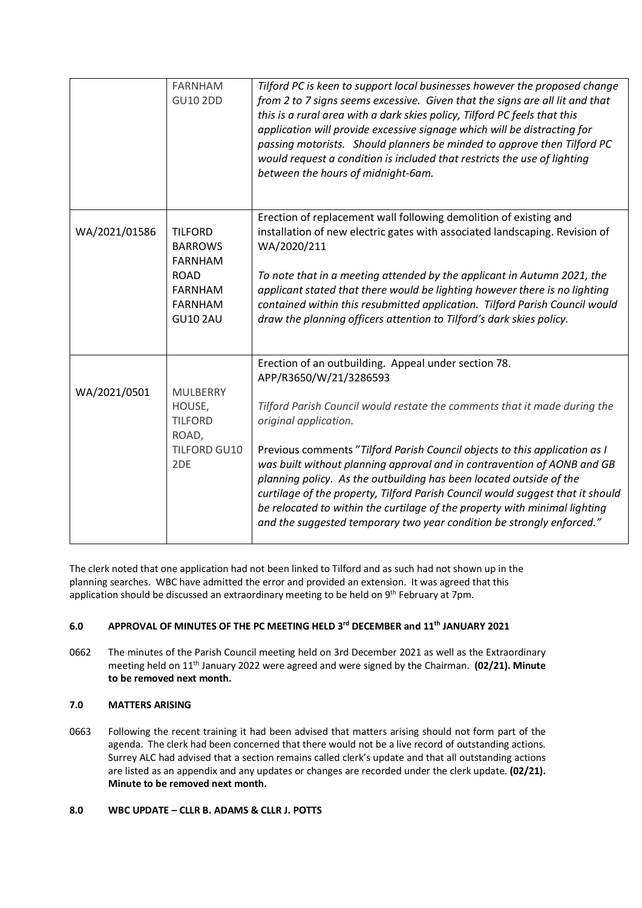|               | <b>FARNHAM</b><br><b>GU10 2DD</b>                                                                                        | Tilford PC is keen to support local businesses however the proposed change<br>from 2 to 7 signs seems excessive. Given that the signs are all lit and that<br>this is a rural area with a dark skies policy, Tilford PC feels that this<br>application will provide excessive signage which will be distracting for<br>passing motorists. Should planners be minded to approve then Tilford PC<br>would request a condition is included that restricts the use of lighting<br>between the hours of midnight-6am.                                                                                                                                              |
|---------------|--------------------------------------------------------------------------------------------------------------------------|---------------------------------------------------------------------------------------------------------------------------------------------------------------------------------------------------------------------------------------------------------------------------------------------------------------------------------------------------------------------------------------------------------------------------------------------------------------------------------------------------------------------------------------------------------------------------------------------------------------------------------------------------------------|
| WA/2021/01586 | <b>TILFORD</b><br><b>BARROWS</b><br><b>FARNHAM</b><br><b>ROAD</b><br><b>FARNHAM</b><br><b>FARNHAM</b><br><b>GU10 2AU</b> | Erection of replacement wall following demolition of existing and<br>installation of new electric gates with associated landscaping. Revision of<br>WA/2020/211<br>To note that in a meeting attended by the applicant in Autumn 2021, the<br>applicant stated that there would be lighting however there is no lighting<br>contained within this resubmitted application. Tilford Parish Council would<br>draw the planning officers attention to Tilford's dark skies policy.                                                                                                                                                                               |
| WA/2021/0501  | <b>MULBERRY</b><br>HOUSE,<br><b>TILFORD</b><br>ROAD,<br>TILFORD GU10<br>2 <sub>DE</sub>                                  | Erection of an outbuilding. Appeal under section 78.<br>APP/R3650/W/21/3286593<br>Tilford Parish Council would restate the comments that it made during the<br>original application.<br>Previous comments "Tilford Parish Council objects to this application as I<br>was built without planning approval and in contravention of AONB and GB<br>planning policy. As the outbuilding has been located outside of the<br>curtilage of the property, Tilford Parish Council would suggest that it should<br>be relocated to within the curtilage of the property with minimal lighting<br>and the suggested temporary two year condition be strongly enforced." |

The clerk noted that one application had not been linked to Tilford and as such had not shown up in the planning searches. WBC have admitted the error and provided an extension. It was agreed that this application should be discussed an extraordinary meeting to be held on 9<sup>th</sup> February at 7pm.

## **6.0 APPROVAL OF MINUTES OF THE PC MEETING HELD 3rd DECEMBER and 11th JANUARY 2021**

0662 The minutes of the Parish Council meeting held on 3rd December 2021 as well as the Extraordinary meeting held on 11th January 2022 were agreed and were signed by the Chairman. **(02/21). Minute to be removed next month.**

## **7.0 MATTERS ARISING**

0663 Following the recent training it had been advised that matters arising should not form part of the agenda. The clerk had been concerned that there would not be a live record of outstanding actions. Surrey ALC had advised that a section remains called clerk's update and that all outstanding actions are listed as an appendix and any updates or changes are recorded under the clerk update. **(02/21). Minute to be removed next month.**

## **8.0 WBC UPDATE – CLLR B. ADAMS & CLLR J. POTTS**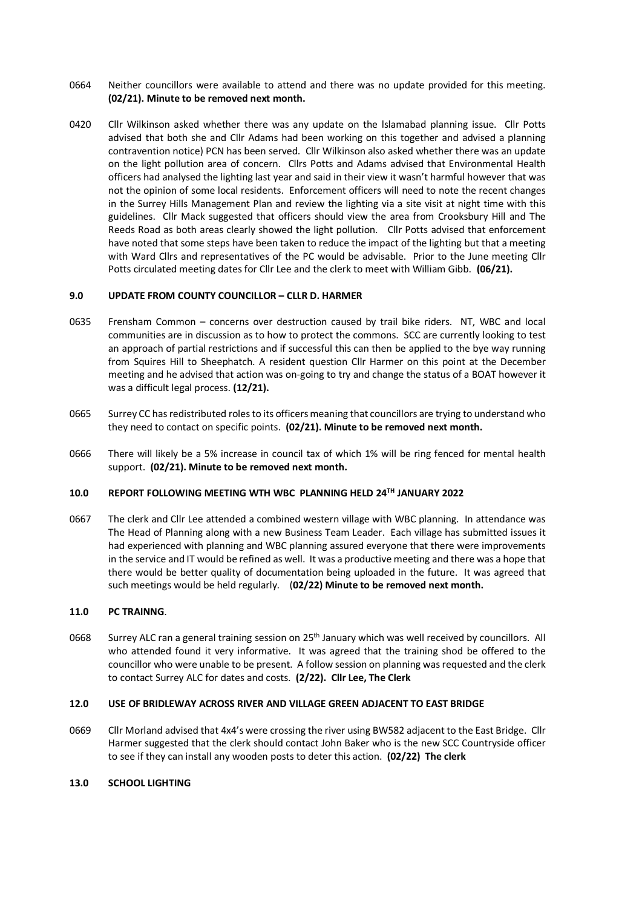- 0664 Neither councillors were available to attend and there was no update provided for this meeting. **(02/21). Minute to be removed next month.**
- 0420 Cllr Wilkinson asked whether there was any update on the lslamabad planning issue. Cllr Potts advised that both she and Cllr Adams had been working on this together and advised a planning contravention notice) PCN has been served. Cllr Wilkinson also asked whether there was an update on the light pollution area of concern. Cllrs Potts and Adams advised that Environmental Health officers had analysed the lighting last year and said in their view it wasn't harmful however that was not the opinion of some local residents. Enforcement officers will need to note the recent changes in the Surrey Hills Management Plan and review the lighting via a site visit at night time with this guidelines. Cllr Mack suggested that officers should view the area from Crooksbury Hill and The Reeds Road as both areas clearly showed the light pollution. Cllr Potts advised that enforcement have noted that some steps have been taken to reduce the impact of the lighting but that a meeting with Ward Cllrs and representatives of the PC would be advisable. Prior to the June meeting Cllr Potts circulated meeting dates for Cllr Lee and the clerk to meet with William Gibb. **(06/21).**

#### **9.0 UPDATE FROM COUNTY COUNCILLOR – CLLR D. HARMER**

- 0635 Frensham Common concerns over destruction caused by trail bike riders. NT, WBC and local communities are in discussion as to how to protect the commons. SCC are currently looking to test an approach of partial restrictions and if successful this can then be applied to the bye way running from Squires Hill to Sheephatch. A resident question Cllr Harmer on this point at the December meeting and he advised that action was on-going to try and change the status of a BOAT however it was a difficult legal process. **(12/21).**
- 0665 Surrey CC has redistributed roles to its officers meaning that councillors are trying to understand who they need to contact on specific points. **(02/21). Minute to be removed next month.**
- 0666 There will likely be a 5% increase in council tax of which 1% will be ring fenced for mental health support. **(02/21). Minute to be removed next month.**

#### **10.0 REPORT FOLLOWING MEETING WTH WBC PLANNING HELD 24TH JANUARY 2022**

0667 The clerk and Cllr Lee attended a combined western village with WBC planning. In attendance was The Head of Planning along with a new Business Team Leader. Each village has submitted issues it had experienced with planning and WBC planning assured everyone that there were improvements in the service and IT would be refined as well. It was a productive meeting and there was a hope that there would be better quality of documentation being uploaded in the future. It was agreed that such meetings would be held regularly. (**02/22) Minute to be removed next month.**

#### **11.0 PC TRAINNG**.

0668 Surrey ALC ran a general training session on 25<sup>th</sup> January which was well received by councillors. All who attended found it very informative. It was agreed that the training shod be offered to the councillor who were unable to be present. A follow session on planning was requested and the clerk to contact Surrey ALC for dates and costs. **(2/22). Cllr Lee, The Clerk**

#### **12.0 USE OF BRIDLEWAY ACROSS RIVER AND VILLAGE GREEN ADJACENT TO EAST BRIDGE**

0669 Cllr Morland advised that 4x4's were crossing the river using BW582 adjacent to the East Bridge. Cllr Harmer suggested that the clerk should contact John Baker who is the new SCC Countryside officer to see if they can install any wooden posts to deter this action. **(02/22) The clerk**

#### **13.0 SCHOOL LIGHTING**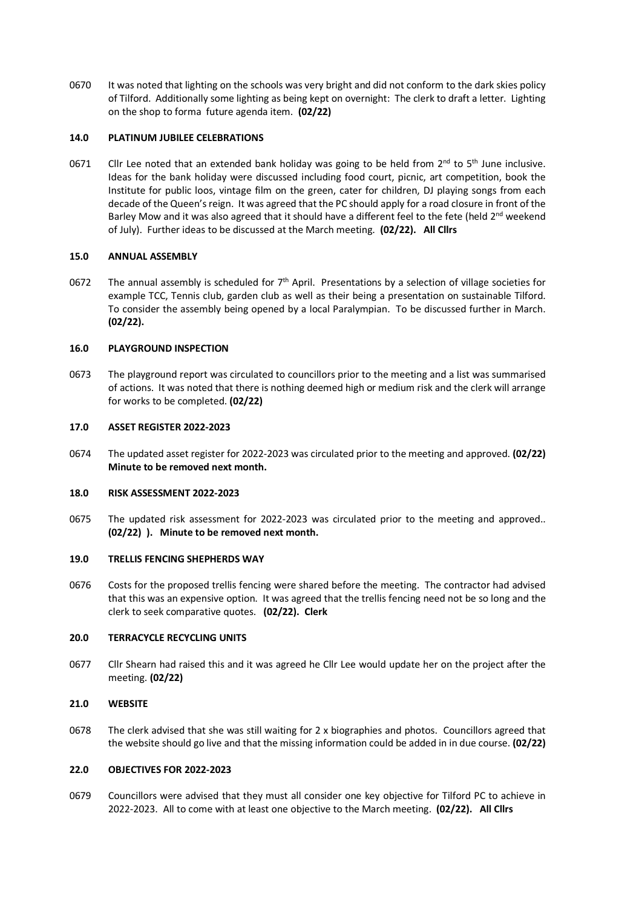0670 It was noted that lighting on the schools was very bright and did not conform to the dark skies policy of Tilford. Additionally some lighting as being kept on overnight: The clerk to draft a letter. Lighting on the shop to forma future agenda item. **(02/22)** 

#### **14.0 PLATINUM JUBILEE CELEBRATIONS**

0671 Cllr Lee noted that an extended bank holiday was going to be held from  $2^{nd}$  to 5<sup>th</sup> June inclusive. Ideas for the bank holiday were discussed including food court, picnic, art competition, book the Institute for public loos, vintage film on the green, cater for children, DJ playing songs from each decade of the Queen's reign. It was agreed that the PC should apply for a road closure in front of the Barley Mow and it was also agreed that it should have a different feel to the fete (held  $2<sup>nd</sup>$  weekend of July). Further ideas to be discussed at the March meeting. **(02/22). All Cllrs**

#### **15.0 ANNUAL ASSEMBLY**

0672 The annual assembly is scheduled for  $7<sup>th</sup>$  April. Presentations by a selection of village societies for example TCC, Tennis club, garden club as well as their being a presentation on sustainable Tilford. To consider the assembly being opened by a local Paralympian. To be discussed further in March. **(02/22).** 

#### **16.0 PLAYGROUND INSPECTION**

0673 The playground report was circulated to councillors prior to the meeting and a list was summarised of actions. It was noted that there is nothing deemed high or medium risk and the clerk will arrange for works to be completed. **(02/22)** 

#### **17.0 ASSET REGISTER 2022-2023**

0674 The updated asset register for 2022-2023 was circulated prior to the meeting and approved. **(02/22) Minute to be removed next month.**

#### **18.0 RISK ASSESSMENT 2022-2023**

0675 The updated risk assessment for 2022-2023 was circulated prior to the meeting and approved.. **(02/22) ). Minute to be removed next month.**

#### **19.0 TRELLIS FENCING SHEPHERDS WAY**

0676 Costs for the proposed trellis fencing were shared before the meeting. The contractor had advised that this was an expensive option. It was agreed that the trellis fencing need not be so long and the clerk to seek comparative quotes. **(02/22). Clerk**

#### **20.0 TERRACYCLE RECYCLING UNITS**

0677 Cllr Shearn had raised this and it was agreed he Cllr Lee would update her on the project after the meeting. **(02/22)** 

## **21.0 WEBSITE**

0678 The clerk advised that she was still waiting for 2 x biographies and photos. Councillors agreed that the website should go live and that the missing information could be added in in due course. **(02/22)** 

#### **22.0 OBJECTIVES FOR 2022-2023**

0679 Councillors were advised that they must all consider one key objective for Tilford PC to achieve in 2022-2023. All to come with at least one objective to the March meeting. **(02/22). All Cllrs**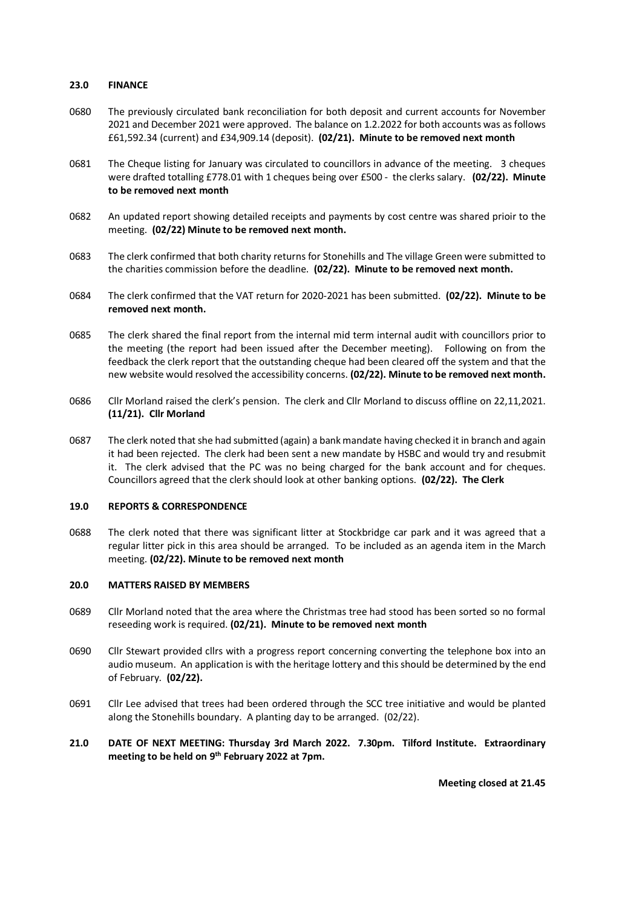#### **23.0 FINANCE**

- 0680 The previously circulated bank reconciliation for both deposit and current accounts for November 2021 and December 2021 were approved. The balance on 1.2.2022 for both accounts was as follows £61,592.34 (current) and £34,909.14 (deposit). **(02/21). Minute to be removed next month**
- 0681 The Cheque listing for January was circulated to councillors in advance of the meeting. 3 cheques were drafted totalling £778.01 with 1 cheques being over £500 - the clerks salary. **(02/22). Minute to be removed next month**
- 0682 An updated report showing detailed receipts and payments by cost centre was shared prioir to the meeting. **(02/22) Minute to be removed next month.**
- 0683 The clerk confirmed that both charity returns for Stonehills and The village Green were submitted to the charities commission before the deadline. **(02/22). Minute to be removed next month.**
- 0684 The clerk confirmed that the VAT return for 2020-2021 has been submitted. **(02/22). Minute to be removed next month.**
- 0685 The clerk shared the final report from the internal mid term internal audit with councillors prior to the meeting (the report had been issued after the December meeting). Following on from the feedback the clerk report that the outstanding cheque had been cleared off the system and that the new website would resolved the accessibility concerns. **(02/22). Minute to be removed next month.**
- 0686 Cllr Morland raised the clerk's pension. The clerk and Cllr Morland to discuss offline on 22,11,2021. **(11/21). Cllr Morland**
- 0687 The clerk noted that she had submitted (again) a bank mandate having checked it in branch and again it had been rejected. The clerk had been sent a new mandate by HSBC and would try and resubmit it. The clerk advised that the PC was no being charged for the bank account and for cheques. Councillors agreed that the clerk should look at other banking options. **(02/22). The Clerk**

#### **19.0 REPORTS & CORRESPONDENCE**

0688 The clerk noted that there was significant litter at Stockbridge car park and it was agreed that a regular litter pick in this area should be arranged. To be included as an agenda item in the March meeting. **(02/22). Minute to be removed next month**

#### **20.0 MATTERS RAISED BY MEMBERS**

- 0689 Cllr Morland noted that the area where the Christmas tree had stood has been sorted so no formal reseeding work is required. **(02/21). Minute to be removed next month**
- 0690 Cllr Stewart provided cllrs with a progress report concerning converting the telephone box into an audio museum. An application is with the heritage lottery and this should be determined by the end of February. **(02/22).**
- 0691 Cllr Lee advised that trees had been ordered through the SCC tree initiative and would be planted along the Stonehills boundary. A planting day to be arranged. (02/22).
- **21.0 DATE OF NEXT MEETING: Thursday 3rd March 2022. 7.30pm. Tilford Institute. Extraordinary meeting to be held on 9th February 2022 at 7pm.**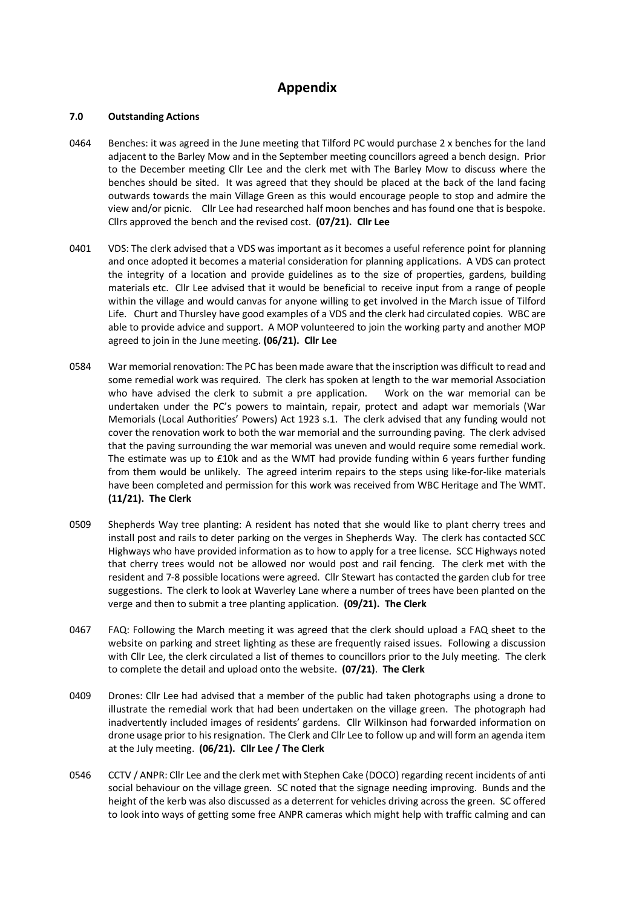# **Appendix**

#### **7.0 Outstanding Actions**

- 0464 Benches: it was agreed in the June meeting that Tilford PC would purchase 2 x benches for the land adjacent to the Barley Mow and in the September meeting councillors agreed a bench design. Prior to the December meeting Cllr Lee and the clerk met with The Barley Mow to discuss where the benches should be sited. It was agreed that they should be placed at the back of the land facing outwards towards the main Village Green as this would encourage people to stop and admire the view and/or picnic. Cllr Lee had researched half moon benches and has found one that is bespoke. Cllrs approved the bench and the revised cost. **(07/21). Cllr Lee**
- 0401 VDS: The clerk advised that a VDS was important as it becomes a useful reference point for planning and once adopted it becomes a material consideration for planning applications. A VDS can protect the integrity of a location and provide guidelines as to the size of properties, gardens, building materials etc. Cllr Lee advised that it would be beneficial to receive input from a range of people within the village and would canvas for anyone willing to get involved in the March issue of Tilford Life. Churt and Thursley have good examples of a VDS and the clerk had circulated copies. WBC are able to provide advice and support. A MOP volunteered to join the working party and another MOP agreed to join in the June meeting. **(06/21). Cllr Lee**
- 0584 War memorial renovation: The PC has been made aware that the inscription was difficult to read and some remedial work was required. The clerk has spoken at length to the war memorial Association who have advised the clerk to submit a pre application. Work on the war memorial can be undertaken under the PC's powers to maintain, repair, protect and adapt war memorials (War Memorials (Local Authorities' Powers) Act 1923 s.1. The clerk advised that any funding would not cover the renovation work to both the war memorial and the surrounding paving. The clerk advised that the paving surrounding the war memorial was uneven and would require some remedial work. The estimate was up to £10k and as the WMT had provide funding within 6 years further funding from them would be unlikely. The agreed interim repairs to the steps using like-for-like materials have been completed and permission for this work was received from WBC Heritage and The WMT. **(11/21). The Clerk**
- 0509 Shepherds Way tree planting: A resident has noted that she would like to plant cherry trees and install post and rails to deter parking on the verges in Shepherds Way. The clerk has contacted SCC Highways who have provided information as to how to apply for a tree license. SCC Highways noted that cherry trees would not be allowed nor would post and rail fencing. The clerk met with the resident and 7-8 possible locations were agreed. Cllr Stewart has contacted the garden club for tree suggestions. The clerk to look at Waverley Lane where a number of trees have been planted on the verge and then to submit a tree planting application. **(09/21). The Clerk**
- 0467 FAQ: Following the March meeting it was agreed that the clerk should upload a FAQ sheet to the website on parking and street lighting as these are frequently raised issues. Following a discussion with Cllr Lee, the clerk circulated a list of themes to councillors prior to the July meeting. The clerk to complete the detail and upload onto the website. **(07/21)**. **The Clerk**
- 0409 Drones: Cllr Lee had advised that a member of the public had taken photographs using a drone to illustrate the remedial work that had been undertaken on the village green. The photograph had inadvertently included images of residents' gardens. Cllr Wilkinson had forwarded information on drone usage prior to his resignation. The Clerk and Cllr Lee to follow up and will form an agenda item at the July meeting. **(06/21). Cllr Lee / The Clerk**
- 0546 CCTV / ANPR: Cllr Lee and the clerk met with Stephen Cake (DOCO) regarding recent incidents of anti social behaviour on the village green. SC noted that the signage needing improving. Bunds and the height of the kerb was also discussed as a deterrent for vehicles driving across the green. SC offered to look into ways of getting some free ANPR cameras which might help with traffic calming and can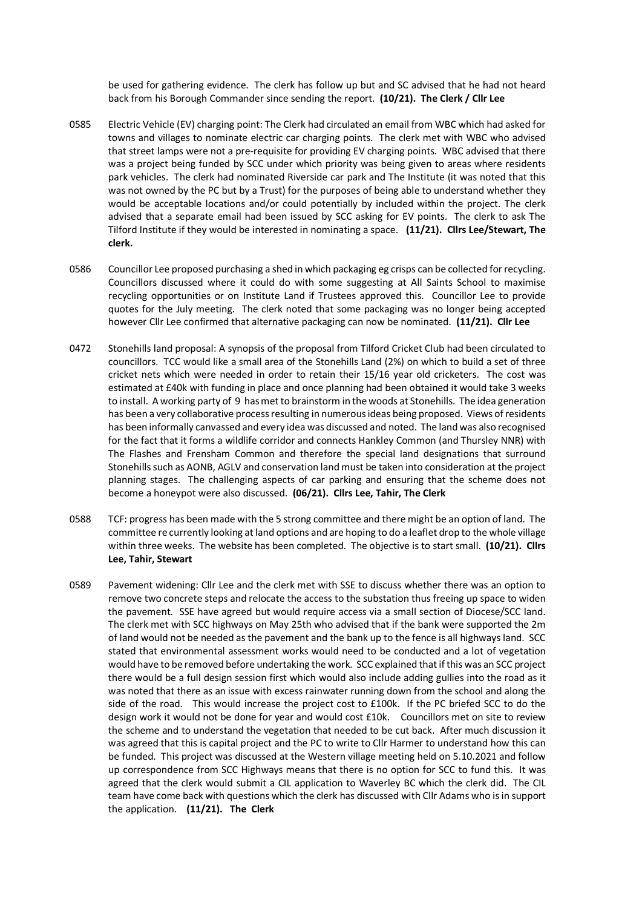be used for gathering evidence. The clerk has follow up but and SC advised that he had not heard back from his Borough Commander since sending the report. **(10/21). The Clerk / Cllr Lee**

- 0585 Electric Vehicle (EV) charging point: The Clerk had circulated an email from WBC which had asked for towns and villages to nominate electric car charging points. The clerk met with WBC who advised that street lamps were not a pre-requisite for providing EV charging points. WBC advised that there was a project being funded by SCC under which priority was being given to areas where residents park vehicles. The clerk had nominated Riverside car park and The Institute (it was noted that this was not owned by the PC but by a Trust) for the purposes of being able to understand whether they would be acceptable locations and/or could potentially by included within the project. The clerk advised that a separate email had been issued by SCC asking for EV points. The clerk to ask The Tilford Institute if they would be interested in nominating a space. **(11/21). Cllrs Lee/Stewart, The clerk.**
- 0586 Councillor Lee proposed purchasing a shed in which packaging eg crisps can be collected for recycling. Councillors discussed where it could do with some suggesting at All Saints School to maximise recycling opportunities or on Institute Land if Trustees approved this. Councillor Lee to provide quotes for the July meeting. The clerk noted that some packaging was no longer being accepted however Cllr Lee confirmed that alternative packaging can now be nominated. **(11/21). Cllr Lee**
- 0472 Stonehills land proposal: A synopsis of the proposal from Tilford Cricket Club had been circulated to councillors. TCC would like a small area of the Stonehills Land (2%) on which to build a set of three cricket nets which were needed in order to retain their 15/16 year old cricketers. The cost was estimated at £40k with funding in place and once planning had been obtained it would take 3 weeks to install. A working party of 9 has met to brainstorm in the woods at Stonehills. The idea generation has been a very collaborative process resulting in numerous ideas being proposed. Views of residents has been informally canvassed and every idea was discussed and noted. The land was also recognised for the fact that it forms a wildlife corridor and connects Hankley Common (and Thursley NNR) with The Flashes and Frensham Common and therefore the special land designations that surround Stonehills such as AONB, AGLV and conservation land must be taken into consideration at the project planning stages. The challenging aspects of car parking and ensuring that the scheme does not become a honeypot were also discussed. **(06/21). Cllrs Lee, Tahir, The Clerk**
- 0588 TCF: progress has been made with the 5 strong committee and there might be an option of land. The committee re currently looking at land options and are hoping to do a leaflet drop to the whole village within three weeks. The website has been completed. The objective is to start small. **(10/21). Cllrs Lee, Tahir, Stewart**
- 0589 Pavement widening: Cllr Lee and the clerk met with SSE to discuss whether there was an option to remove two concrete steps and relocate the access to the substation thus freeing up space to widen the pavement. SSE have agreed but would require access via a small section of Diocese/SCC land. The clerk met with SCC highways on May 25th who advised that if the bank were supported the 2m of land would not be needed as the pavement and the bank up to the fence is all highways land. SCC stated that environmental assessment works would need to be conducted and a lot of vegetation would have to be removed before undertaking the work. SCC explained that if this was an SCC project there would be a full design session first which would also include adding gullies into the road as it was noted that there as an issue with excess rainwater running down from the school and along the side of the road. This would increase the project cost to £100k. If the PC briefed SCC to do the design work it would not be done for year and would cost £10k. Councillors met on site to review the scheme and to understand the vegetation that needed to be cut back. After much discussion it was agreed that this is capital project and the PC to write to Cllr Harmer to understand how this can be funded. This project was discussed at the Western village meeting held on 5.10.2021 and follow up correspondence from SCC Highways means that there is no option for SCC to fund this. It was agreed that the clerk would submit a CIL application to Waverley BC which the clerk did. The CIL team have come back with questions which the clerk has discussed with Cllr Adams who is in support the application. **(11/21). The Clerk**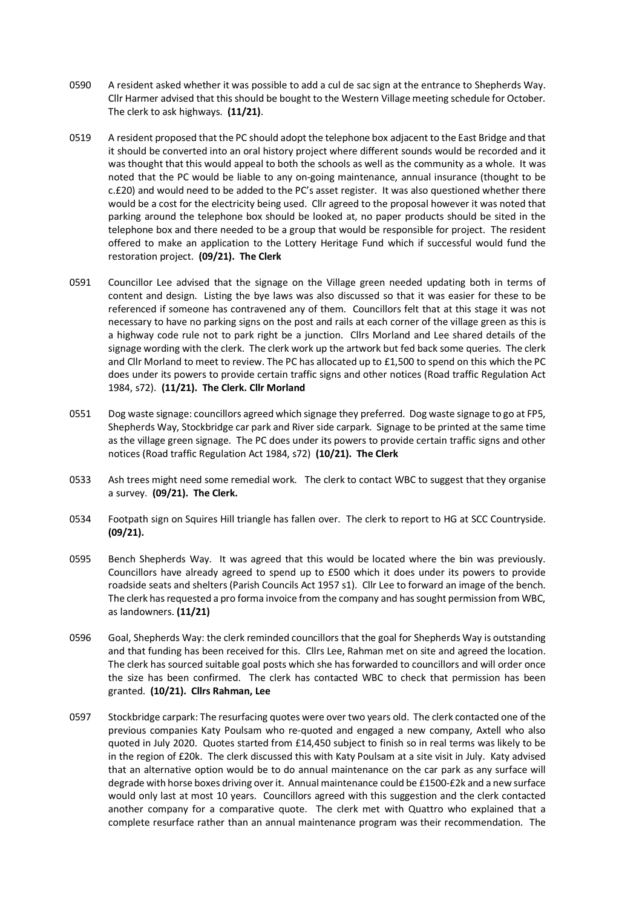- 0590 A resident asked whether it was possible to add a cul de sac sign at the entrance to Shepherds Way. Cllr Harmer advised that this should be bought to the Western Village meeting schedule for October. The clerk to ask highways. **(11/21)**.
- 0519 A resident proposed that the PC should adopt the telephone box adjacent to the East Bridge and that it should be converted into an oral history project where different sounds would be recorded and it was thought that this would appeal to both the schools as well as the community as a whole. It was noted that the PC would be liable to any on-going maintenance, annual insurance (thought to be c.£20) and would need to be added to the PC's asset register. It was also questioned whether there would be a cost for the electricity being used. Cllr agreed to the proposal however it was noted that parking around the telephone box should be looked at, no paper products should be sited in the telephone box and there needed to be a group that would be responsible for project. The resident offered to make an application to the Lottery Heritage Fund which if successful would fund the restoration project. **(09/21). The Clerk**
- 0591 Councillor Lee advised that the signage on the Village green needed updating both in terms of content and design. Listing the bye laws was also discussed so that it was easier for these to be referenced if someone has contravened any of them. Councillors felt that at this stage it was not necessary to have no parking signs on the post and rails at each corner of the village green as this is a highway code rule not to park right be a junction. Cllrs Morland and Lee shared details of the signage wording with the clerk. The clerk work up the artwork but fed back some queries. The clerk and Cllr Morland to meet to review. The PC has allocated up to £1,500 to spend on this which the PC does under its powers to provide certain traffic signs and other notices (Road traffic Regulation Act 1984, s72). **(11/21). The Clerk. Cllr Morland**
- 0551 Dog waste signage: councillors agreed which signage they preferred. Dog waste signage to go at FP5, Shepherds Way, Stockbridge car park and River side carpark. Signage to be printed at the same time as the village green signage. The PC does under its powers to provide certain traffic signs and other notices (Road traffic Regulation Act 1984, s72) **(10/21). The Clerk**
- 0533 Ash trees might need some remedial work. The clerk to contact WBC to suggest that they organise a survey. **(09/21). The Clerk.**
- 0534 Footpath sign on Squires Hill triangle has fallen over. The clerk to report to HG at SCC Countryside. **(09/21).**
- 0595 Bench Shepherds Way. It was agreed that this would be located where the bin was previously. Councillors have already agreed to spend up to £500 which it does under its powers to provide roadside seats and shelters (Parish Councils Act 1957 s1). Cllr Lee to forward an image of the bench. The clerk has requested a pro forma invoice from the company and has sought permission from WBC, as landowners. **(11/21)**
- 0596 Goal, Shepherds Way: the clerk reminded councillors that the goal for Shepherds Way is outstanding and that funding has been received for this. Cllrs Lee, Rahman met on site and agreed the location. The clerk has sourced suitable goal posts which she has forwarded to councillors and will order once the size has been confirmed. The clerk has contacted WBC to check that permission has been granted. **(10/21). Cllrs Rahman, Lee**
- 0597 Stockbridge carpark: The resurfacing quotes were over two years old. The clerk contacted one of the previous companies Katy Poulsam who re-quoted and engaged a new company, Axtell who also quoted in July 2020. Quotes started from £14,450 subject to finish so in real terms was likely to be in the region of £20k. The clerk discussed this with Katy Poulsam at a site visit in July. Katy advised that an alternative option would be to do annual maintenance on the car park as any surface will degrade with horse boxes driving over it. Annual maintenance could be £1500-£2k and a new surface would only last at most 10 years. Councillors agreed with this suggestion and the clerk contacted another company for a comparative quote. The clerk met with Quattro who explained that a complete resurface rather than an annual maintenance program was their recommendation. The